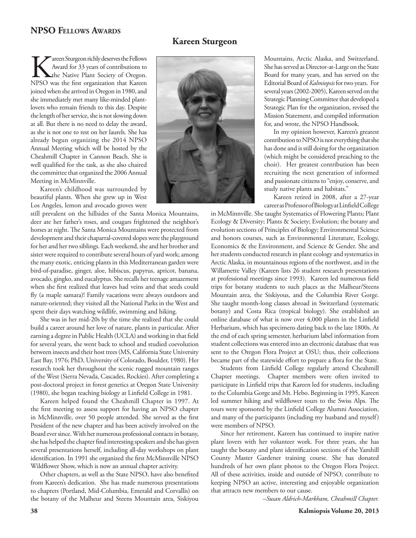## **NPSO Fellows Awards**

## **Kareen Sturgeon**

**KAREG ARE Sturgeon richly deserves the Fellows**<br>Award for 33 years of contributions to<br>the Native Plant Society of Oregon.<br>NPSO was the first organization that Kareen Award for 33 years of contributions to **L**the Native Plant Society of Oregon. joined when she arrived in Oregon in 1980, and she immediately met many like-minded plantlovers who remain friends to this day. Despite the length of her service, she is not slowing down at all. But there is no need to delay the award, as she is not one to rest on her laurels. She has already begun organizing the 2014 NPSO Annual Meeting which will be hosted by the Cheahmill Chapter in Cannon Beach. She is well qualified for the task, as she also chaired the committee that organized the 2006 Annual Meeting in McMinnville.

Kareen's childhood was surrounded by beautiful plants. When she grew up in West Los Angeles, lemon and avocado groves were

still prevalent on the hillsides of the Santa Monica Mountains, deer ate her father's roses, and cougars frightened the neighbor's horses at night. The Santa Monica Mountains were protected from development and their chaparral-covered slopes were the playground for her and her two siblings. Each weekend, she and her brother and sister were required to contribute several hours of yard work; among the many exotic, enticing plants in this Mediterranean garden were bird-of-paradise, ginger, aloe, hibiscus, papyrus, apricot, banana, avocado, gingko, and eucalyptus. She recalls her teenage amazement when she first realized that leaves had veins and that seeds could fly (a maple samara)! Family vacations were always outdoors and nature-oriented; they visited all the National Parks in the West and spent their days watching wildlife, swimming and hiking.

She was in her mid-20s by the time she realized that she could build a career around her love of nature, plants in particular. After earning a degree in Public Health (UCLA) and working in that field for several years, she went back to school and studied coevolution between insects and their host trees (MS, California State University East Bay, 1976; PhD, University of Colorado, Boulder, 1980). Her research took her throughout the scenic rugged mountain ranges of the West (Sierra Nevada, Cascades, Rockies). After completing a post-doctoral project in forest genetics at Oregon State University (1980), she began teaching biology at Linfield College in 1981.

Kareen helped found the Cheahmill Chapter in 1997. At the first meeting to assess support for having an NPSO chapter in McMinnville, over 50 people attended. She served as the first President of the new chapter and has been actively involved on the Board ever since. With her numerous professional contacts in botany, she has helped the chapter find interesting speakers and she has given several presentations herself, including all-day workshops on plant identification. In 1991 she organized the first McMinnville NPSO Wildflower Show, which is now an annual chapter activity.

Other chapters, as well as the State NPSO, have also benefited from Kareen's dedication. She has made numerous presentations to chapters (Portland, Mid-Columbia, Emerald and Corvallis) on the botany of the Malheur and Steens Mountain area, Siskiyou



Mountains, Arctic Alaska, and Switzerland. She has served as Director-at-Large on the State Board for many years, and has served on the Editorial Board of *Kalmiopsis* for two years. For several years (2002-2005), Kareen served on the Strategic Planning Committee that developed a Strategic Plan for the organization, revised the Mission Statement, and compiled information for, and wrote, the NPSO Handbook.

In my opinion however, Kareen's greatest contribution to NPSO is not everything that she has done and is still doing for the organization (which might be considered preaching to the choir). Her greatest contribution has been recruiting the next generation of informed and passionate citizens to "enjoy, conserve, and study native plants and habitats."

Kareen retired in 2008, after a 27-year career as Professor of Biology at Linfield College

in McMinnville. She taught Systematics of Flowering Plants; Plant Ecology & Diversity; Plants & Society; Evolution; the botany and evolution sections of Principles of Biology; Environmental Science and honors courses, such as Environmental Literature, Ecology, Economics & the Environment, and Science & Gender. She and her students conducted research in plant ecology and systematics in Arctic Alaska, in mountainous regions of the northwest, and in the Willamette Valley (Kareen lists 26 student research presentations at professional meetings since 1993). Kareen led numerous field trips for botany students to such places as the Malheur/Steens Mountain area, the Siskiyous, and the Columbia River Gorge. She taught month-long classes abroad in Switzerland (systematic botany) and Costa Rica (tropical biology). She established an online database of what is now over 4,000 plants in the Linfield Herbarium, which has specimens dating back to the late 1800s. At the end of each spring semester, herbarium label information from student collections was entered into an electronic database that was sent to the Oregon Flora Project at OSU; thus, their collections became part of the statewide effort to prepare a flora for the State.

Students from Linfield College regularly attend Cheahmill Chapter meetings. Chapter members were often invited to participate in Linfield trips that Kareen led for students, including to the Columbia Gorge and Mt. Hebo. Beginning in 1995, Kareen led summer hiking and wildflower tours to the Swiss Alps. The tours were sponsored by the Linfield College Alumni Association, and many of the participants (including my husband and myself) were members of NPSO.

Since her retirement, Kareen has continued to inspire native plant lovers with her volunteer work. For three years, she has taught the botany and plant identification sections of the Yamhill County Master Gardener training course. She has donated hundreds of her own plant photos to the Oregon Flora Project. All of these activities, inside and outside of NPSO, contribute to keeping NPSO an active, interesting and enjoyable organization that attracts new members to our cause.

–*Susan Aldrich-Markham, Cheahmill Chapter.*